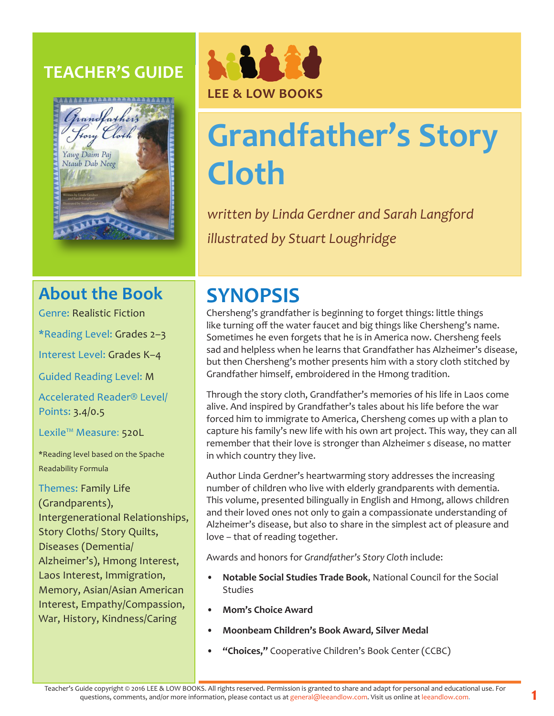## **TEACHER'S GUIDE**





# **Grandfather's Story Cloth**

*written by Linda Gerdner and Sarah Langford illustrated by Stuart Loughridge*

## **About the Book**

Genre: Realistic Fiction

\*Reading Level: Grades 2–3

Interest Level: Grades K–4

Guided Reading Level: M

Accelerated Reader® Level/ Points: 3.4/0.5

Lexile™ Measure: 520L

\*Reading level based on the Spache Readability Formula

Themes: Family Life (Grandparents), Intergenerational Relationships, Story Cloths/ Story Quilts, Diseases (Dementia/ Alzheimer's), Hmong Interest, Laos Interest, Immigration, Memory, Asian/Asian American Interest, Empathy/Compassion, War, History, Kindness/Caring

## **SYNOPSIS**

Chersheng's grandfather is beginning to forget things: little things like turning off the water faucet and big things like Chersheng's name. Sometimes he even forgets that he is in America now. Chersheng feels sad and helpless when he learns that Grandfather has Alzheimer's disease, but then Chersheng's mother presents him with a story cloth stitched by Grandfather himself, embroidered in the Hmong tradition.

Through the story cloth, Grandfather's memories of his life in Laos come alive. And inspired by Grandfather's tales about his life before the war forced him to immigrate to America, Chersheng comes up with a plan to capture his family's new life with his own art project. This way, they can all remember that their love is stronger than Alzheimer s disease, no matter in which country they live.

Author Linda Gerdner's heartwarming story addresses the increasing number of children who live with elderly grandparents with dementia. This volume, presented bilingually in English and Hmong, allows children and their loved ones not only to gain a compassionate understanding of Alzheimer's disease, but also to share in the simplest act of pleasure and love – that of reading together.

Awards and honors for *Grandfather's Story Cloth* include:

- **Notable Social Studies Trade Book**, National Council for the Social **Studies**
- **Mom's Choice Award**
- **Moonbeam Children's Book Award, Silver Medal**
- **"Choices,"** Cooperative Children's Book Center (CCBC)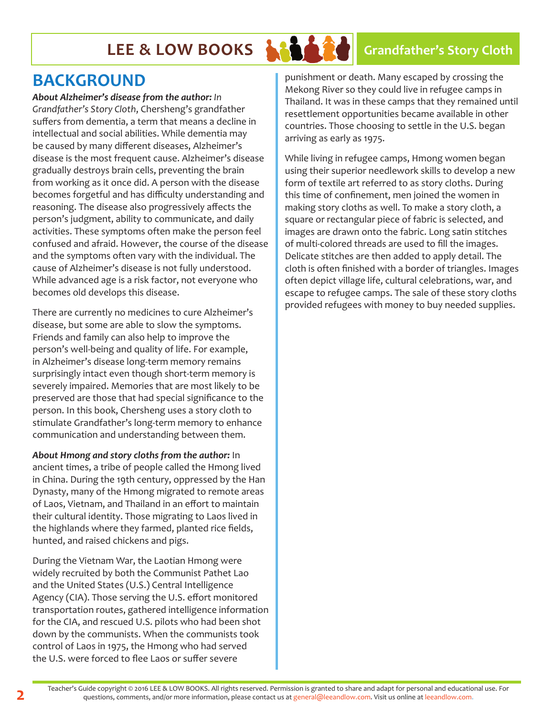## LEE & LOW BOOKS **AND A Communist Story Cloth**

## **BACKGROUND**

*About Alzheimer's disease from the author: In* 

*Grandfather's Story Cloth*, Chersheng's grandfather suffers from dementia, a term that means a decline in intellectual and social abilities. While dementia may be caused by many different diseases, Alzheimer's disease is the most frequent cause. Alzheimer's disease gradually destroys brain cells, preventing the brain from working as it once did. A person with the disease becomes forgetful and has difficulty understanding and reasoning. The disease also progressively affects the person's judgment, ability to communicate, and daily activities. These symptoms often make the person feel confused and afraid. However, the course of the disease and the symptoms often vary with the individual. The cause of Alzheimer's disease is not fully understood. While advanced age is a risk factor, not everyone who becomes old develops this disease.

There are currently no medicines to cure Alzheimer's disease, but some are able to slow the symptoms. Friends and family can also help to improve the person's well-being and quality of life. For example, in Alzheimer's disease long-term memory remains surprisingly intact even though short-term memory is severely impaired. Memories that are most likely to be preserved are those that had special significance to the person. In this book, Chersheng uses a story cloth to stimulate Grandfather's long-term memory to enhance communication and understanding between them.

*About Hmong and story cloths from the author:* In ancient times, a tribe of people called the Hmong lived in China. During the 19th century, oppressed by the Han Dynasty, many of the Hmong migrated to remote areas of Laos, Vietnam, and Thailand in an effort to maintain their cultural identity. Those migrating to Laos lived in the highlands where they farmed, planted rice fields, hunted, and raised chickens and pigs.

During the Vietnam War, the Laotian Hmong were widely recruited by both the Communist Pathet Lao and the United States (U.S.) Central Intelligence Agency (CIA). Those serving the U.S. effort monitored transportation routes, gathered intelligence information for the CIA, and rescued U.S. pilots who had been shot down by the communists. When the communists took control of Laos in 1975, the Hmong who had served the U.S. were forced to flee Laos or suffer severe

punishment or death. Many escaped by crossing the Mekong River so they could live in refugee camps in Thailand. It was in these camps that they remained until resettlement opportunities became available in other countries. Those choosing to settle in the U.S. began arriving as early as 1975.

While living in refugee camps, Hmong women began using their superior needlework skills to develop a new form of textile art referred to as story cloths. During this time of confinement, men joined the women in making story cloths as well. To make a story cloth, a square or rectangular piece of fabric is selected, and images are drawn onto the fabric. Long satin stitches of multi-colored threads are used to fill the images. Delicate stitches are then added to apply detail. The cloth is often finished with a border of triangles. Images often depict village life, cultural celebrations, war, and escape to refugee camps. The sale of these story cloths provided refugees with money to buy needed supplies.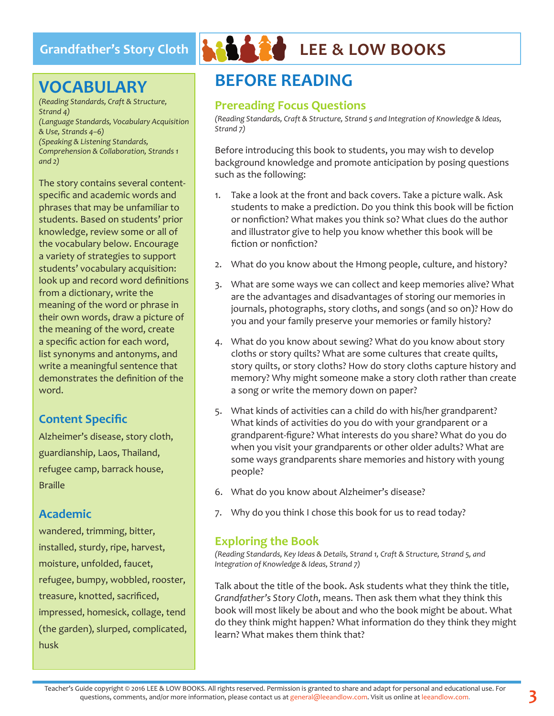## **VOCABULARY**

*(Reading Standards, Craft & Structure, Strand 4) (Language Standards, Vocabulary Acquisition & Use, Strands 4–6) (Speaking & Listening Standards, Comprehension & Collaboration, Strands 1 and 2)*

The story contains several contentspecific and academic words and phrases that may be unfamiliar to students. Based on students' prior knowledge, review some or all of the vocabulary below. Encourage a variety of strategies to support students' vocabulary acquisition: look up and record word definitions from a dictionary, write the meaning of the word or phrase in their own words, draw a picture of the meaning of the word, create a specific action for each word, list synonyms and antonyms, and write a meaningful sentence that demonstrates the definition of the word.

### **Content Specific**

Alzheimer's disease, story cloth, guardianship, Laos, Thailand, refugee camp, barrack house, Braille

### **Academic**

wandered, trimming, bitter, installed, sturdy, ripe, harvest, moisture, unfolded, faucet, refugee, bumpy, wobbled, rooster, treasure, knotted, sacrificed, impressed, homesick, collage, tend (the garden), slurped, complicated, husk



## **Grandfather's Story Cloth LEE & LOW BOOKS**

## **BEFORE READING**

#### **Prereading Focus Questions**

*(Reading Standards, Craft & Structure, Strand 5 and Integration of Knowledge & Ideas, Strand 7)*

Before introducing this book to students, you may wish to develop background knowledge and promote anticipation by posing questions such as the following:

- 1. Take a look at the front and back covers. Take a picture walk. Ask students to make a prediction. Do you think this book will be fiction or nonfiction? What makes you think so? What clues do the author and illustrator give to help you know whether this book will be fiction or nonfiction?
- 2. What do you know about the Hmong people, culture, and history?
- 3. What are some ways we can collect and keep memories alive? What are the advantages and disadvantages of storing our memories in journals, photographs, story cloths, and songs (and so on)? How do you and your family preserve your memories or family history?
- 4. What do you know about sewing? What do you know about story cloths or story quilts? What are some cultures that create quilts, story quilts, or story cloths? How do story cloths capture history and memory? Why might someone make a story cloth rather than create a song or write the memory down on paper?
- 5. What kinds of activities can a child do with his/her grandparent? What kinds of activities do you do with your grandparent or a grandparent-figure? What interests do you share? What do you do when you visit your grandparents or other older adults? What are some ways grandparents share memories and history with young people?
- 6. What do you know about Alzheimer's disease?
- 7. Why do you think I chose this book for us to read today?

#### **Exploring the Book**

*(Reading Standards, Key Ideas & Details, Strand 1, Craft & Structure, Strand 5, and Integration of Knowledge & Ideas, Strand 7)*

Talk about the title of the book. Ask students what they think the title, *Grandfather's Story Cloth*, means. Then ask them what they think this book will most likely be about and who the book might be about. What do they think might happen? What information do they think they might learn? What makes them think that?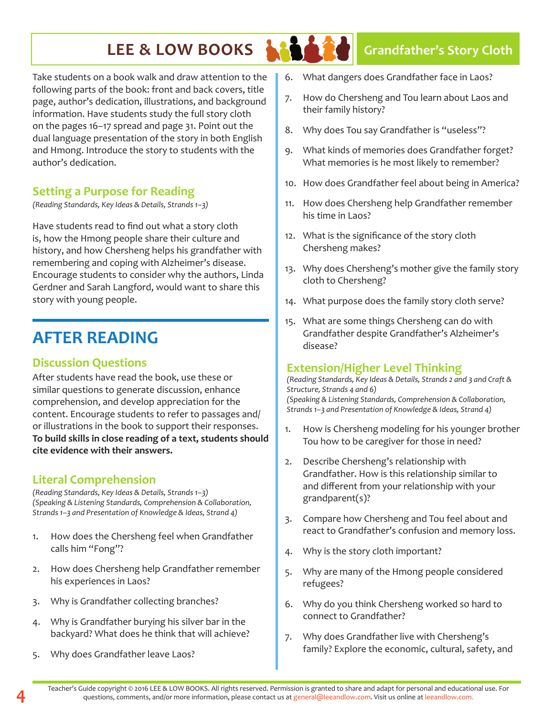## **LEE & LOW BOOKS Grandfather's Story Cloth**

Take students on a book walk and draw attention to the following parts of the book: front and back covers, title page, author's dedication, illustrations, and background information. Have students study the full story cloth on the pages 16–17 spread and page 31. Point out the dual language presentation of the story in both English and Hmong. Introduce the story to students with the author's dedication.

#### **Setting a Purpose for Reading**

*(Reading Standards, Key Ideas & Details, Strands 1–3)*

Have students read to find out what a story cloth is, how the Hmong people share their culture and history, and how Chersheng helps his grandfather with remembering and coping with Alzheimer's disease. Encourage students to consider why the authors, Linda Gerdner and Sarah Langford, would want to share this story with young people.

## **AFTER READING**

#### **Discussion Questions**

After students have read the book, use these or similar questions to generate discussion, enhance comprehension, and develop appreciation for the content. Encourage students to refer to passages and/ or illustrations in the book to support their responses. **To build skills in close reading of a text, students should cite evidence with their answers.**

#### **Literal Comprehension**

*(Reading Standards, Key Ideas & Details, Strands 1–3) (Speaking & Listening Standards, Comprehension & Collaboration, Strands 1–3 and Presentation of Knowledge & Ideas, Strand 4)*

- 1. How does the Chersheng feel when Grandfather calls him "Fong"?
- 2. How does Chersheng help Grandfather remember his experiences in Laos?
- 3. Why is Grandfather collecting branches?
- 4. Why is Grandfather burying his silver bar in the backyard? What does he think that will achieve?
- 5. Why does Grandfather leave Laos?
- 
- 6. What dangers does Grandfather face in Laos?
- 7. How do Chersheng and Tou learn about Laos and their family history?
- 8. Why does Tou say Grandfather is "useless"?
- 9. What kinds of memories does Grandfather forget? What memories is he most likely to remember?
- 10. How does Grandfather feel about being in America?
- 11. How does Chersheng help Grandfather remember his time in Laos?
- 12. What is the significance of the story cloth Chersheng makes?
- 13. Why does Chersheng's mother give the family story cloth to Chersheng?
- 14. What purpose does the family story cloth serve?
- 15. What are some things Chersheng can do with Grandfather despite Grandfather's Alzheimer's disease?

#### **Extension/Higher Level Thinking**

*(Reading Standards, Key Ideas & Details, Strands 2 and 3 and Craft & Structure, Strands 4 and 6) (Speaking & Listening Standards, Comprehension & Collaboration, Strands 1–3 and Presentation of Knowledge & Ideas, Strand 4)*

- 1. How is Chersheng modeling for his younger brother Tou how to be caregiver for those in need?
- 2. Describe Chersheng's relationship with Grandfather. How is this relationship similar to and different from your relationship with your grandparent(s)?
- 3. Compare how Chersheng and Tou feel about and react to Grandfather's confusion and memory loss.
- 4. Why is the story cloth important?
- 5. Why are many of the Hmong people considered refugees?
- 6. Why do you think Chersheng worked so hard to connect to Grandfather?
- 7. Why does Grandfather live with Chersheng's family? Explore the economic, cultural, safety, and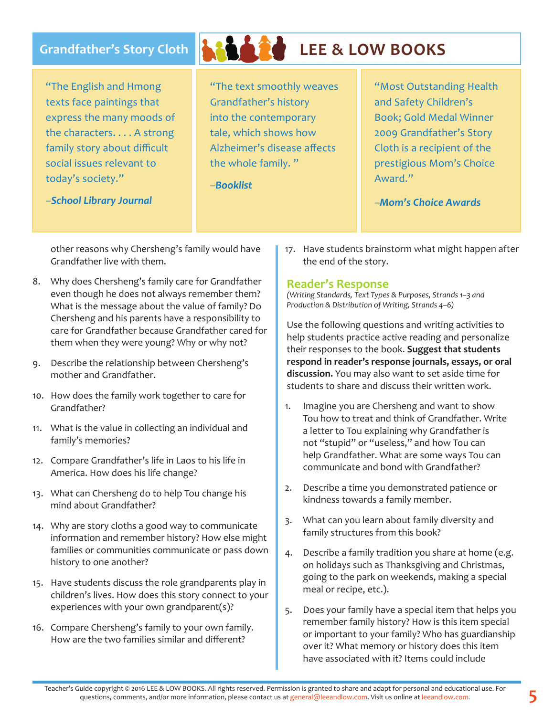"The English and Hmong texts face paintings that express the many moods of the characters. . . . A strong family story about difficult social issues relevant to today's society."



## **Grandfather's Story Cloth LEE & LOW BOOKS**

"The text smoothly weaves Grandfather's history into the contemporary tale, which shows how Alzheimer's disease affects the whole family. "

–*Booklist* 

"Most Outstanding Health and Safety Children's Book; Gold Medal Winner 2009 Grandfather's Story Cloth is a recipient of the prestigious Mom's Choice Award."

–*Mom's Choice Awards* 

–*School Library Journal* 

other reasons why Chersheng's family would have Grandfather live with them.

- 8. Why does Chersheng's family care for Grandfather even though he does not always remember them? What is the message about the value of family? Do Chersheng and his parents have a responsibility to care for Grandfather because Grandfather cared for them when they were young? Why or why not?
- 9. Describe the relationship between Chersheng's mother and Grandfather.
- 10. How does the family work together to care for Grandfather?
- 11. What is the value in collecting an individual and family's memories?
- 12. Compare Grandfather's life in Laos to his life in America. How does his life change?
- 13. What can Chersheng do to help Tou change his mind about Grandfather?
- 14. Why are story cloths a good way to communicate information and remember history? How else might families or communities communicate or pass down history to one another?
- 15. Have students discuss the role grandparents play in children's lives. How does this story connect to your experiences with your own grandparent(s)?
- 16. Compare Chersheng's family to your own family. How are the two families similar and different?

17. Have students brainstorm what might happen after the end of the story.

#### **Reader's Response**

*(Writing Standards, Text Types & Purposes, Strands 1–3 and Production & Distribution of Writing, Strands 4–6)* 

Use the following questions and writing activities to help students practice active reading and personalize their responses to the book. **Suggest that students respond in reader's response journals, essays, or oral discussion.** You may also want to set aside time for students to share and discuss their written work.

- 1. Imagine you are Chersheng and want to show Tou how to treat and think of Grandfather. Write a letter to Tou explaining why Grandfather is not "stupid" or "useless," and how Tou can help Grandfather. What are some ways Tou can communicate and bond with Grandfather?
- 2. Describe a time you demonstrated patience or kindness towards a family member.
- 3. What can you learn about family diversity and family structures from this book?
- 4. Describe a family tradition you share at home (e.g. on holidays such as Thanksgiving and Christmas, going to the park on weekends, making a special meal or recipe, etc.).
- 5. Does your family have a special item that helps you remember family history? How is this item special or important to your family? Who has guardianship over it? What memory or history does this item have associated with it? Items could include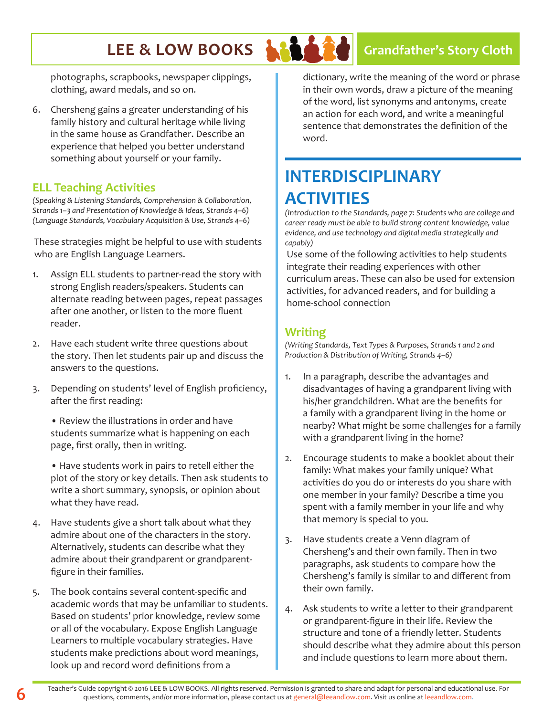## **LEE & LOW BOOKS Grandfather's Story Cloth**

photographs, scrapbooks, newspaper clippings, clothing, award medals, and so on.

6. Chersheng gains a greater understanding of his family history and cultural heritage while living in the same house as Grandfather. Describe an experience that helped you better understand something about yourself or your family.

#### **ELL Teaching Activities**

*(Speaking & Listening Standards, Comprehension & Collaboration, Strands 1–3 and Presentation of Knowledge & Ideas, Strands 4–6) (Language Standards, Vocabulary Acquisition & Use, Strands 4–6)*

These strategies might be helpful to use with students who are English Language Learners.

- 1. Assign ELL students to partner-read the story with strong English readers/speakers. Students can alternate reading between pages, repeat passages after one another, or listen to the more fluent reader.
- 2. Have each student write three questions about the story. Then let students pair up and discuss the answers to the questions.
- 3. Depending on students' level of English proficiency, after the first reading:

• Review the illustrations in order and have students summarize what is happening on each page, first orally, then in writing.

• Have students work in pairs to retell either the plot of the story or key details. Then ask students to write a short summary, synopsis, or opinion about what they have read.

- 4. Have students give a short talk about what they admire about one of the characters in the story. Alternatively, students can describe what they admire about their grandparent or grandparentfigure in their families.
- 5. The book contains several content-specific and academic words that may be unfamiliar to students. Based on students' prior knowledge, review some or all of the vocabulary. Expose English Language Learners to multiple vocabulary strategies. Have students make predictions about word meanings, look up and record word definitions from a

dictionary, write the meaning of the word or phrase in their own words, draw a picture of the meaning of the word, list synonyms and antonyms, create an action for each word, and write a meaningful sentence that demonstrates the definition of the word.

## **INTERDISCIPLINARY ACTIVITIES**

*(Introduction to the Standards, page 7: Students who are college and career ready must be able to build strong content knowledge, value evidence, and use technology and digital media strategically and capably)*

Use some of the following activities to help students integrate their reading experiences with other curriculum areas. These can also be used for extension activities, for advanced readers, and for building a home-school connection

#### **Writing**

*(Writing Standards, Text Types & Purposes, Strands 1 and 2 and Production & Distribution of Writing, Strands 4–6)*

- 1. In a paragraph, describe the advantages and disadvantages of having a grandparent living with his/her grandchildren. What are the benefits for a family with a grandparent living in the home or nearby? What might be some challenges for a family with a grandparent living in the home?
- 2. Encourage students to make a booklet about their family: What makes your family unique? What activities do you do or interests do you share with one member in your family? Describe a time you spent with a family member in your life and why that memory is special to you.
- 3. Have students create a Venn diagram of Chersheng's and their own family. Then in two paragraphs, ask students to compare how the Chersheng's family is similar to and different from their own family.
- 4. Ask students to write a letter to their grandparent or grandparent-figure in their life. Review the structure and tone of a friendly letter. Students should describe what they admire about this person and include questions to learn more about them.

**6** Teacher's Guide copyright © 2016 LEE & LOW BOOKS. All rights reserved. Permission is granted to share and adapt for personal and educational use. For questions, comments, and/or more information, please contact us at general@leeandlow.com. Visit us online at leeandlow.com.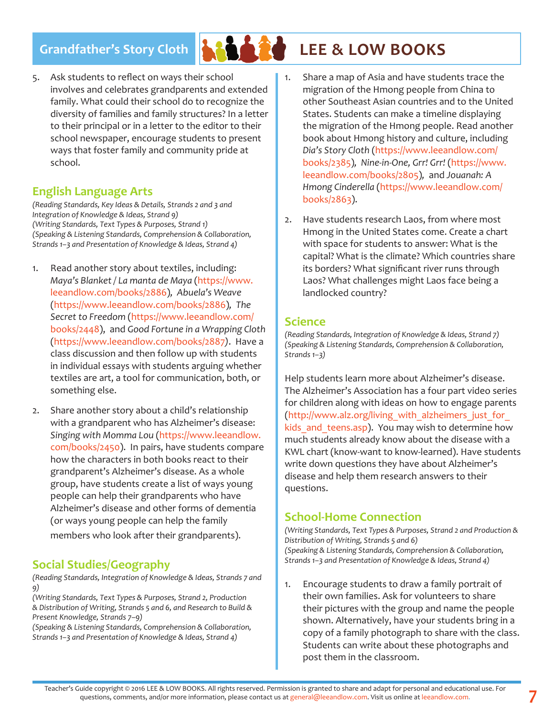

## **Grandfather's Story Cloth LEE & LOW BOOKS**

5. Ask students to reflect on ways their school involves and celebrates grandparents and extended family. What could their school do to recognize the diversity of families and family structures? In a letter to their principal or in a letter to the editor to their school newspaper, encourage students to present ways that foster family and community pride at school.

#### **English Language Arts**

*(Reading Standards, Key Ideas & Details, Strands 2 and 3 and Integration of Knowledge & Ideas, Strand 9) (Writing Standards, Text Types & Purposes, Strand 1) (Speaking & Listening Standards, Comprehension & Collaboration, Strands 1–3 and Presentation of Knowledge & Ideas, Strand 4)*

- 1. Read another story about textiles, including: *Maya's Blanket / La manta de Maya* (https://www. leeandlow.com/books/2886)*, Abuela's Weave*  (https://www.leeandlow.com/books/2886)*, The Secret to Freedom* (https://www.leeandlow.com/ books/2448), and *Good Fortune in a Wrapping Cloth*  (https://www.leeandlow.com/books/2887*)*. Have a class discussion and then follow up with students in individual essays with students arguing whether textiles are art, a tool for communication, both, or something else.
- 2. Share another story about a child's relationship with a grandparent who has Alzheimer's disease: *Singing with Momma Lou* (https://www.leeandlow. com/books/2450). In pairs, have students compare how the characters in both books react to their grandparent's Alzheimer's disease. As a whole group, have students create a list of ways young people can help their grandparents who have Alzheimer's disease and other forms of dementia (or ways young people can help the family

members who look after their grandparents).

#### **Social Studies/Geography**

*(Reading Standards, Integration of Knowledge & Ideas, Strands 7 and 9)*

*(Writing Standards, Text Types & Purposes, Strand 2, Production & Distribution of Writing, Strands 5 and 6, and Research to Build & Present Knowledge, Strands 7–9)*

*(Speaking & Listening Standards, Comprehension & Collaboration, Strands 1–3 and Presentation of Knowledge & Ideas, Strand 4)*

- 1. Share a map of Asia and have students trace the migration of the Hmong people from China to other Southeast Asian countries and to the United States. Students can make a timeline displaying the migration of the Hmong people. Read another book about Hmong history and culture, including *Dia's Story Cloth* (https://www.leeandlow.com/ books/2385)*, Nine-in-One, Grr! Grr!* (https://www. leeandlow.com/books/2805)*,* and *Jouanah: A Hmong Cinderella* (https://www.leeandlow.com/ books/2863).
- 2. Have students research Laos, from where most Hmong in the United States come. Create a chart with space for students to answer: What is the capital? What is the climate? Which countries share its borders? What significant river runs through Laos? What challenges might Laos face being a landlocked country?

#### **Science**

*(Reading Standards, Integration of Knowledge & Ideas, Strand 7) (Speaking & Listening Standards, Comprehension & Collaboration, Strands 1–3)*

Help students learn more about Alzheimer's disease. The Alzheimer's Association has a four part video series for children along with ideas on how to engage parents (http://www.alz.org/living\_with\_alzheimers\_just\_for kids and teens.asp). You may wish to determine how much students already know about the disease with a KWL chart (know-want to know-learned). Have students write down questions they have about Alzheimer's disease and help them research answers to their questions.

#### **School-Home Connection**

*(Writing Standards, Text Types & Purposes, Strand 2 and Production & Distribution of Writing, Strands 5 and 6) (Speaking & Listening Standards, Comprehension & Collaboration, Strands 1–3 and Presentation of Knowledge & Ideas, Strand 4)*

1. Encourage students to draw a family portrait of their own families. Ask for volunteers to share their pictures with the group and name the people shown. Alternatively, have your students bring in a copy of a family photograph to share with the class. Students can write about these photographs and post them in the classroom.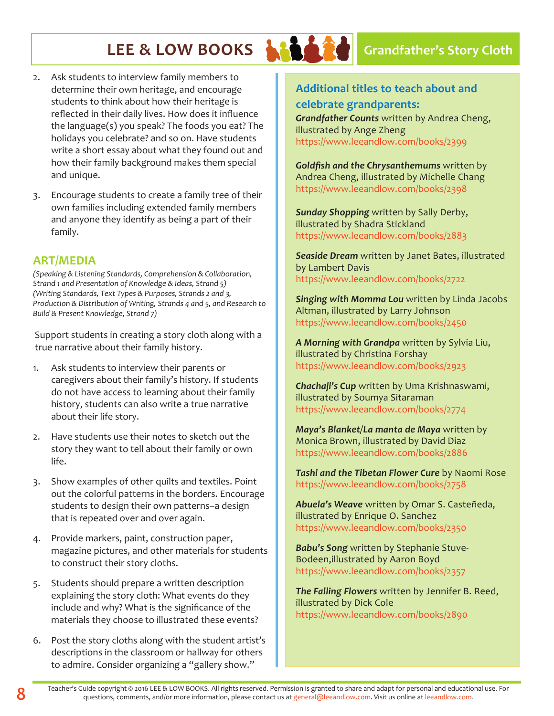## **LEE & LOW BOOKS Grandfather's Story Cloth**

- 2. Ask students to interview family members to determine their own heritage, and encourage students to think about how their heritage is reflected in their daily lives. How does it influence the language(s) you speak? The foods you eat? The holidays you celebrate? and so on. Have students write a short essay about what they found out and how their family background makes them special and unique.
- 3. Encourage students to create a family tree of their own families including extended family members and anyone they identify as being a part of their family.

#### **ART/MEDIA**

*(Speaking & Listening Standards, Comprehension & Collaboration, Strand 1 and Presentation of Knowledge & Ideas, Strand 5) (Writing Standards, Text Types & Purposes, Strands 2 and 3, Production & Distribution of Writing, Strands 4 and 5, and Research to Build & Present Knowledge, Strand 7)*

Support students in creating a story cloth along with a true narrative about their family history.

- 1. Ask students to interview their parents or caregivers about their family's history. If students do not have access to learning about their family history, students can also write a true narrative about their life story.
- 2. Have students use their notes to sketch out the story they want to tell about their family or own life.
- 3. Show examples of other quilts and textiles. Point out the colorful patterns in the borders. Encourage students to design their own patterns–a design that is repeated over and over again.
- 4. Provide markers, paint, construction paper, magazine pictures, and other materials for students to construct their story cloths.
- 5. Students should prepare a written description explaining the story cloth: What events do they include and why? What is the significance of the materials they choose to illustrated these events?
- 6. Post the story cloths along with the student artist's descriptions in the classroom or hallway for others to admire. Consider organizing a "gallery show."

### **Additional titles to teach about and celebrate grandparents:**

*Grandfather Counts* written by Andrea Cheng, illustrated by Ange Zheng https://www.leeandlow.com/books/2399

*Goldfish and the Chrysanthemums* written by Andrea Cheng, illustrated by Michelle Chang https://www.leeandlow.com/books/2398

*Sunday Shopping* written by Sally Derby, illustrated by Shadra Stickland https://www.leeandlow.com/books/2883

*Seaside Dream* written by Janet Bates, illustrated by Lambert Davis https://www.leeandlow.com/books/2722

*Singing with Momma Lou* written by Linda Jacobs Altman, illustrated by Larry Johnson https://www.leeandlow.com/books/2450

*A Morning with Grandpa* written by Sylvia Liu, illustrated by Christina Forshay https://www.leeandlow.com/books/2923

*Chachaji's Cup* written by Uma Krishnaswami, illustrated by Soumya Sitaraman https://www.leeandlow.com/books/2774

*Maya's Blanket/La manta de Maya* written by Monica Brown, illustrated by David Diaz https://www.leeandlow.com/books/2886

*Tashi and the Tibetan Flower Cure* by Naomi Rose https://www.leeandlow.com/books/2758

*Abuela's Weave* written by Omar S. Casteñeda, illustrated by Enrique O. Sanchez https://www.leeandlow.com/books/2350

*Babu's Song* written by Stephanie Stuve-Bodeen,illustrated by Aaron Boyd https://www.leeandlow.com/books/2357

*The Falling Flowers* written by Jennifer B. Reed, illustrated by Dick Cole https://www.leeandlow.com/books/2890